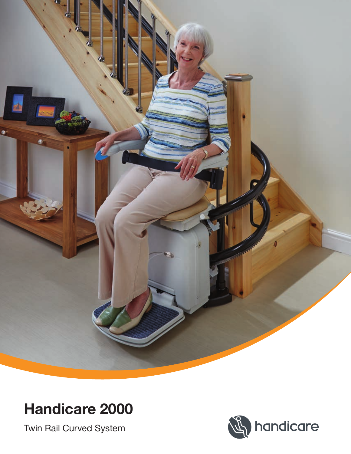

# **Handicare 2000**

Twin Rail Curved System

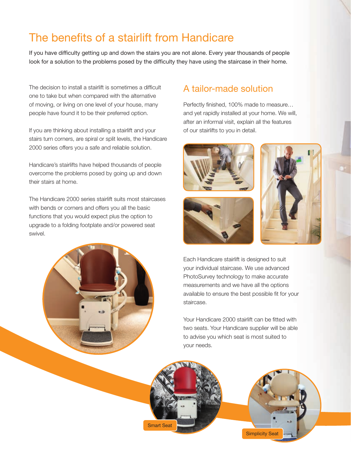## The benefits of a stairlift from Handicare

If you have difficulty getting up and down the stairs you are not alone. Every year thousands of people look for a solution to the problems posed by the difficulty they have using the staircase in their home.

The decision to install a stairlift is sometimes a difficult one to take but when compared with the alternative of moving, or living on one level of your house, many people have found it to be their preferred option.

If you are thinking about installing a stairlift and your stairs turn corners, are spiral or split levels, the Handicare 2000 series offers you a safe and reliable solution.

Handicare's stairlifts have helped thousands of people overcome the problems posed by going up and down their stairs at home.

The Handicare 2000 series stairlift suits most staircases with bends or corners and offers you all the basic functions that you would expect plus the option to upgrade to a folding footplate and/or powered seat swivel.



#### A tailor-made solution

Perfectly finished, 100% made to measure… and yet rapidly installed at your home. We will, after an informal visit, explain all the features of our stairlifts to you in detail.



Each Handicare stairlift is designed to suit your individual staircase. We use advanced PhotoSurvey technology to make accurate measurements and we have all the options available to ensure the best possible fit for your staircase.

Your Handicare 2000 stairlift can be fitted with two seats. Your Handicare supplier will be able to advise you which seat is most suited to your needs.



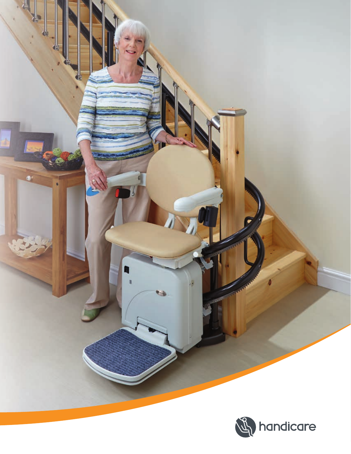

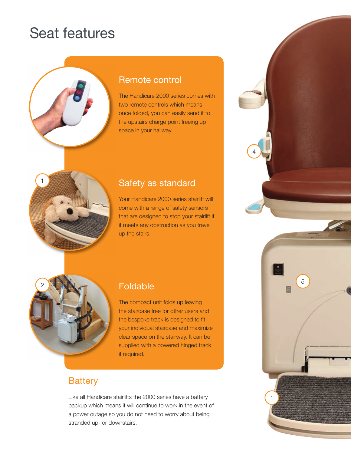# Seat features



#### Remote control

The Handicare 2000 series comes with two remote controls which means, once folded, you can easily send it to the upstairs charge point freeing up space in your hallway.



#### Safety as standard

Your Handicare 2000 series stairlift will come with a range of safety sensors that are designed to stop your stairlift if it meets any obstruction as you travel up the stairs.



The compact unit folds up leaving the staircase free for other users and the bespoke track is designed to fit your individual staircase and maximize clear space on the stairway. It can be supplied with a powered hinged track if required.

#### **Battery**

Like all Handicare stairlifts the 2000 series have a battery backup which means it will continue to work in the event of a power outage so you do not need to worry about being stranded up- or downstairs.

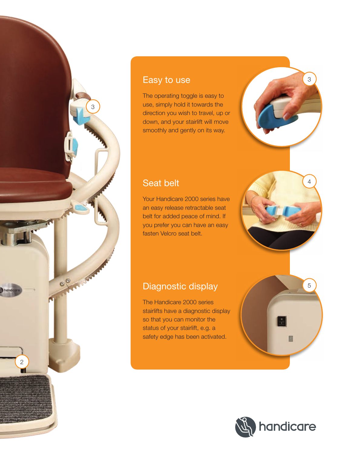

#### Easy to use

The operating toggle is easy to use, simply hold it towards the direction you wish to travel, up or down, and your stairlift will move smoothly and gently on its way.



#### Seat belt

Your Handicare 2000 series have an easy release retractable seat belt for added peace of mind. If you prefer you can have an easy fasten Velcro seat belt.

#### Diagnostic display

The Handicare 2000 series stairlifts have a diagnostic display so that you can monitor the status of your stairlift, e.g. a safety edge has been activated.



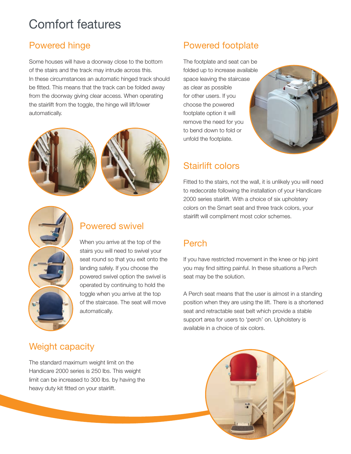# Comfort features

#### Powered hinge

Some houses will have a doorway close to the bottom of the stairs and the track may intrude across this. In these circumstances an automatic hinged track should be fitted. This means that the track can be folded away from the doorway giving clear access. When operating the stairlift from the toggle, the hinge will lift/lower automatically.



Powered swivel

When you arrive at the top of the stairs you will need to swivel your seat round so that you exit onto the landing safely. If you choose the powered swivel option the swivel is operated by continuing to hold the toggle when you arrive at the top of the staircase. The seat will move

### Powered footplate

The footplate and seat can be folded up to increase available space leaving the staircase as clear as possible for other users. If you choose the powered footplate option it will remove the need for you to bend down to fold or unfold the footplate.



#### Stairlift colors

Fitted to the stairs, not the wall, it is unlikely you will need to redecorate following the installation of your Handicare 2000 series stairlift. With a choice of six upholstery colors on the Smart seat and three track colors, your stairlift will compliment most color schemes.

#### Perch

If you have restricted movement in the knee or hip joint you may find sitting painful. In these situations a Perch seat may be the solution.

A Perch seat means that the user is almost in a standing position when they are using the lift. There is a shortened seat and retractable seat belt which provide a stable support area for users to 'perch' on. Upholstery is available in a choice of six colors.



The standard maximum weight limit on the Handicare 2000 series is 250 lbs. This weight limit can be increased to 300 lbs. by having the heavy duty kit fitted on your stairlift.

automatically.

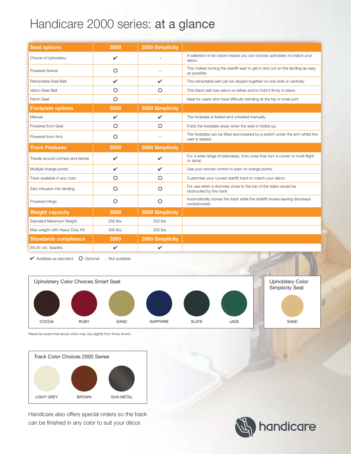# Handicare 2000 series: at a glance

| <b>Seat options</b>              | 2000         | <b>2000 Simplicity</b> |                                                                                                 |
|----------------------------------|--------------|------------------------|-------------------------------------------------------------------------------------------------|
| Choice of Upholstery             | $\checkmark$ |                        | A selection of six colors means you can choose upholstery to match your<br>décor.               |
| Powered Swivel                   | O            |                        | This makes turning the stairlift seat to get in and out on the landing as easy<br>as possible.  |
| Retractable Seat Belt            | $\checkmark$ | ✓                      | This retractable belt can be clipped together on one side or centrally.                         |
| Velcro Seat Belt                 | O            | О                      | This black belt has velcro on either end to hold it firmly in place.                            |
| Perch Seat                       | $\circ$      |                        | Ideal for users who have difficulty bending at the hip or knee joint.                           |
| <b>Footplate options</b>         | 2000         | <b>2000 Simplicity</b> |                                                                                                 |
| Manual                           | $\checkmark$ | $\mathbf{v}$           | The footplate is folded and unfolded manually.                                                  |
| Powered from Seat                | O            | $\circ$                | Folds the footplate away when the seat is folded up.                                            |
| Powered from Arm                 | O            |                        | The footplate can be lifted and lowered by a switch under the arm whilst the<br>user is seated. |
| <b>Track Features</b>            | 2000         | <b>2000 Simplicity</b> |                                                                                                 |
| Travels around corners and bends | V            | $\checkmark$           | For a wide range of staircases, from ones that turn a corner to multi-flight<br>or spiral.      |
| Multiple charge points           | V            | ✓                      | Use your remote control to park on charge points.                                               |
| Track available in any color     | O            | Ο                      | Customise your curved stairlift track to match your décor.                                      |
| Zero intrusion into landing      | O            | $\circ$                | For use when a doorway close to the top of the stairs would be<br>obstructed by the track.      |
| Powered Hinge                    | $\circ$      | $\circ$                | Automatically moves the track while the stairlift moves leaving doorways<br>unobstructed.       |
| <b>Weight capacity</b>           | 2000         | <b>2000 Simplicity</b> |                                                                                                 |
| Standard Maximum Weight          | 250 lbs.     | 250 lbs.               |                                                                                                 |
| Max weight with Heavy Duty Kit   | 300 lbs.     | 300 lbs.               |                                                                                                 |
| <b>Standards compliance</b>      | 2000         | <b>2000 Simplicity</b> |                                                                                                 |
| EN 81-40: Stairlifts             | $\checkmark$ | $\checkmark$           |                                                                                                 |

 $\triangleright$  Available as standard  $\triangleright$  Optional - Not available



Please be aware that actual colors may vary slightly from those shown.



Handicare also offers special orders so the track can be finished in any color to suit your décor.